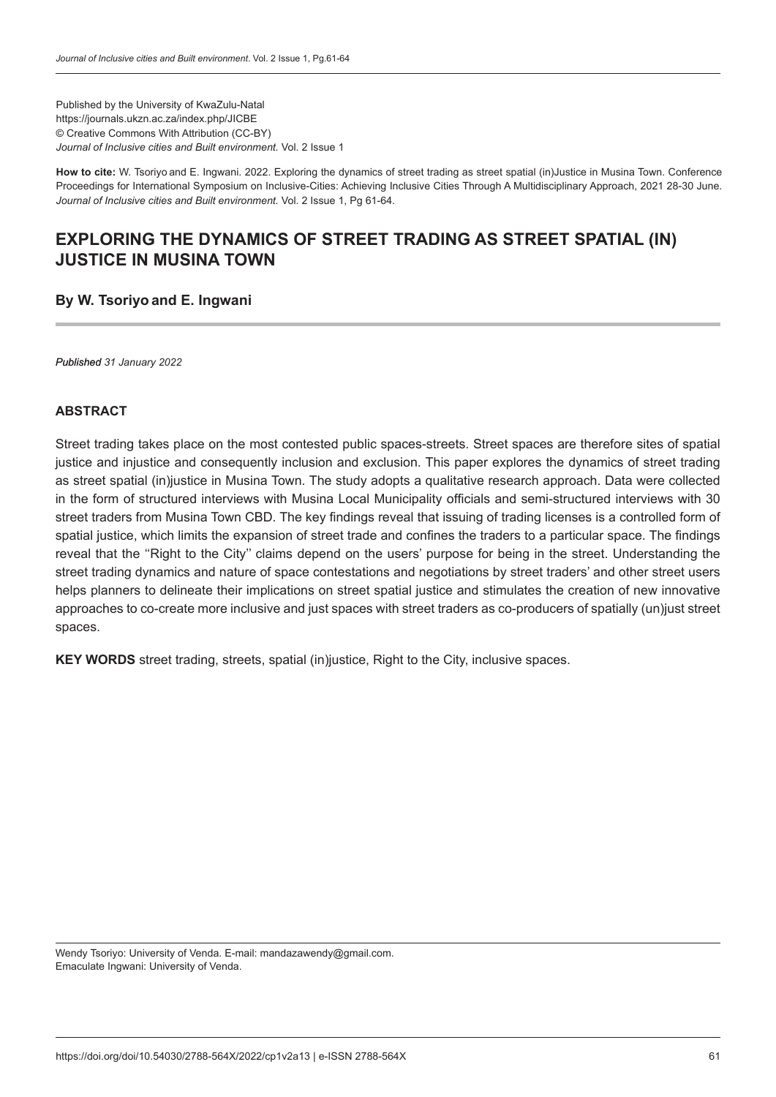Published by the University of KwaZulu-Natal https://journals.ukzn.ac.za/index.php/JICBE © Creative Commons With Attribution (CC-BY) *Journal of Inclusive cities and Built environment.* Vol. 2 Issue 1

**How to cite:** W. Tsoriyo and E. Ingwani. 2022. Exploring the dynamics of street trading as street spatial (in)Justice in Musina Town. Conference Proceedings for International Symposium on Inclusive-Cities: Achieving Inclusive Cities Through A Multidisciplinary Approach, 2021 28-30 June. *Journal of Inclusive cities and Built environment.* Vol. 2 Issue 1, Pg 61-64.

# **EXPLORING THE DYNAMICS OF STREET TRADING AS STREET SPATIAL (IN) JUSTICE IN MUSINA TOWN**

### **By W. Tsoriyo and E. Ingwani**

*Published 31 January 2022*

#### **ABSTRACT**

Street trading takes place on the most contested public spaces-streets. Street spaces are therefore sites of spatial justice and injustice and consequently inclusion and exclusion. This paper explores the dynamics of street trading as street spatial (in)justice in Musina Town. The study adopts a qualitative research approach. Data were collected in the form of structured interviews with Musina Local Municipality officials and semi-structured interviews with 30 street traders from Musina Town CBD. The key findings reveal that issuing of trading licenses is a controlled form of spatial justice, which limits the expansion of street trade and confines the traders to a particular space. The findings reveal that the "Right to the City" claims depend on the users' purpose for being in the street. Understanding the street trading dynamics and nature of space contestations and negotiations by street traders' and other street users helps planners to delineate their implications on street spatial justice and stimulates the creation of new innovative approaches to co-create more inclusive and just spaces with street traders as co-producers of spatially (un)just street spaces.

**KEY WORDS** street trading, streets, spatial (in)justice, Right to the City, inclusive spaces.

Wendy Tsoriyo: University of Venda. E-mail: mandazawendy@gmail.com. Emaculate Ingwani: University of Venda.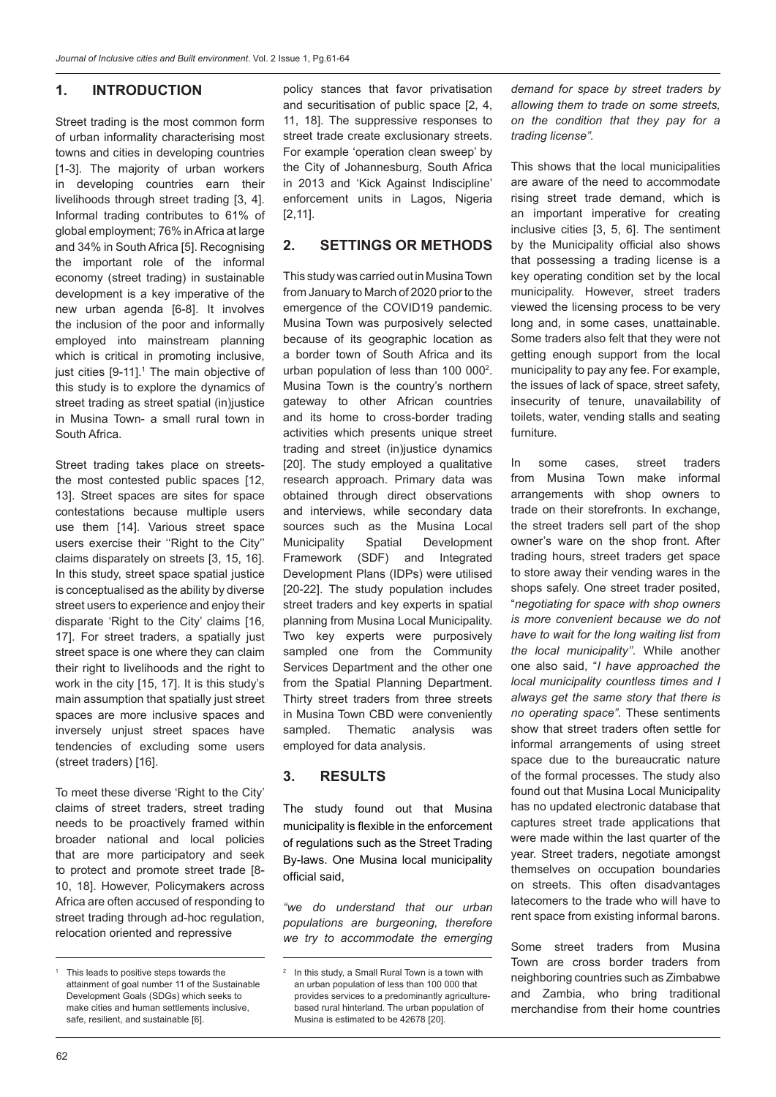#### **1. INTRODUCTION**

Street trading is the most common form of urban informality characterising most towns and cities in developing countries [1-3]. The majority of urban workers in developing countries earn their livelihoods through street trading [3, 4]. Informal trading contributes to 61% of global employment; 76% in Africa at large and 34% in South Africa [5]. Recognising the important role of the informal economy (street trading) in sustainable development is a key imperative of the new urban agenda [6-8]. It involves the inclusion of the poor and informally employed into mainstream planning which is critical in promoting inclusive, just cities [9-11].<sup>1</sup> The main objective of this study is to explore the dynamics of street trading as street spatial (in)justice in Musina Town- a small rural town in South Africa.

Street trading takes place on streetsthe most contested public spaces [12, 13]. Street spaces are sites for space contestations because multiple users use them [14]. Various street space users exercise their "Right to the City" claims disparately on streets [3, 15, 16]. In this study, street space spatial justice is conceptualised as the ability by diverse street users to experience and enjoy their disparate 'Right to the City' claims [16, 17]. For street traders, a spatially just street space is one where they can claim their right to livelihoods and the right to work in the city [15, 17]. It is this study's main assumption that spatially just street spaces are more inclusive spaces and inversely unjust street spaces have tendencies of excluding some users (street traders) [16].

To meet these diverse 'Right to the City' claims of street traders, street trading needs to be proactively framed within broader national and local policies that are more participatory and seek to protect and promote street trade [8- 10, 18]. However, Policymakers across Africa are often accused of responding to street trading through ad-hoc regulation, relocation oriented and repressive

policy stances that favor privatisation and securitisation of public space [2, 4, 11, 18]. The suppressive responses to street trade create exclusionary streets. For example 'operation clean sweep' by the City of Johannesburg, South Africa in 2013 and 'Kick Against Indiscipline' enforcement units in Lagos, Nigeria [2,11].

#### **2. SETTINGS OR METHODS**

This study was carried out in Musina Town from January to March of 2020 prior to the emergence of the COVID19 pandemic. Musina Town was purposively selected because of its geographic location as a border town of South Africa and its urban population of less than 100 000<sup>2</sup>. Musina Town is the country's northern gateway to other African countries and its home to cross-border trading activities which presents unique street trading and street (in)justice dynamics [20]. The study employed a qualitative research approach. Primary data was obtained through direct observations and interviews, while secondary data sources such as the Musina Local Municipality Spatial Development Framework (SDF) and Integrated Development Plans (IDPs) were utilised [20-22]. The study population includes street traders and key experts in spatial planning from Musina Local Municipality. Two key experts were purposively sampled one from the Community Services Department and the other one from the Spatial Planning Department. Thirty street traders from three streets in Musina Town CBD were conveniently sampled. Thematic analysis was employed for data analysis.

#### **3. RESULTS**

The study found out that Musina municipality is flexible in the enforcement of regulations such as the Street Trading By-laws. One Musina local municipality official said,

*"we do understand that our urban populations are burgeoning, therefore we try to accommodate the emerging*  *demand for space by street traders by allowing them to trade on some streets, on the condition that they pay for a trading license".* 

This shows that the local municipalities are aware of the need to accommodate rising street trade demand, which is an important imperative for creating inclusive cities [3, 5, 6]. The sentiment by the Municipality official also shows that possessing a trading license is a key operating condition set by the local municipality. However, street traders viewed the licensing process to be very long and, in some cases, unattainable. Some traders also felt that they were not getting enough support from the local municipality to pay any fee. For example, the issues of lack of space, street safety, insecurity of tenure, unavailability of toilets, water, vending stalls and seating furniture.

In some cases, street traders from Musina Town make informal arrangements with shop owners to trade on their storefronts. In exchange, the street traders sell part of the shop owner's ware on the shop front. After trading hours, street traders get space to store away their vending wares in the shops safely. One street trader posited, "*negotiating for space with shop owners is more convenient because we do not have to wait for the long waiting list from the local municipality''.* While another one also said, "*I have approached the local municipality countless times and I always get the same story that there is no operating space".* These sentiments show that street traders often settle for informal arrangements of using street space due to the bureaucratic nature of the formal processes. The study also found out that Musina Local Municipality has no updated electronic database that captures street trade applications that were made within the last quarter of the year. Street traders, negotiate amongst themselves on occupation boundaries on streets. This often disadvantages latecomers to the trade who will have to rent space from existing informal barons.

Some street traders from Musina Town are cross border traders from neighboring countries such as Zimbabwe and Zambia, who bring traditional merchandise from their home countries

<sup>&</sup>lt;sup>1</sup> This leads to positive steps towards the attainment of goal number 11 of the Sustainable Development Goals (SDGs) which seeks to make cities and human settlements inclusive, safe, resilient, and sustainable [6].

<sup>&</sup>lt;sup>2</sup> In this study, a Small Rural Town is a town with an urban population of less than 100 000 that provides services to a predominantly agriculturebased rural hinterland. The urban population of Musina is estimated to be 42678 [20].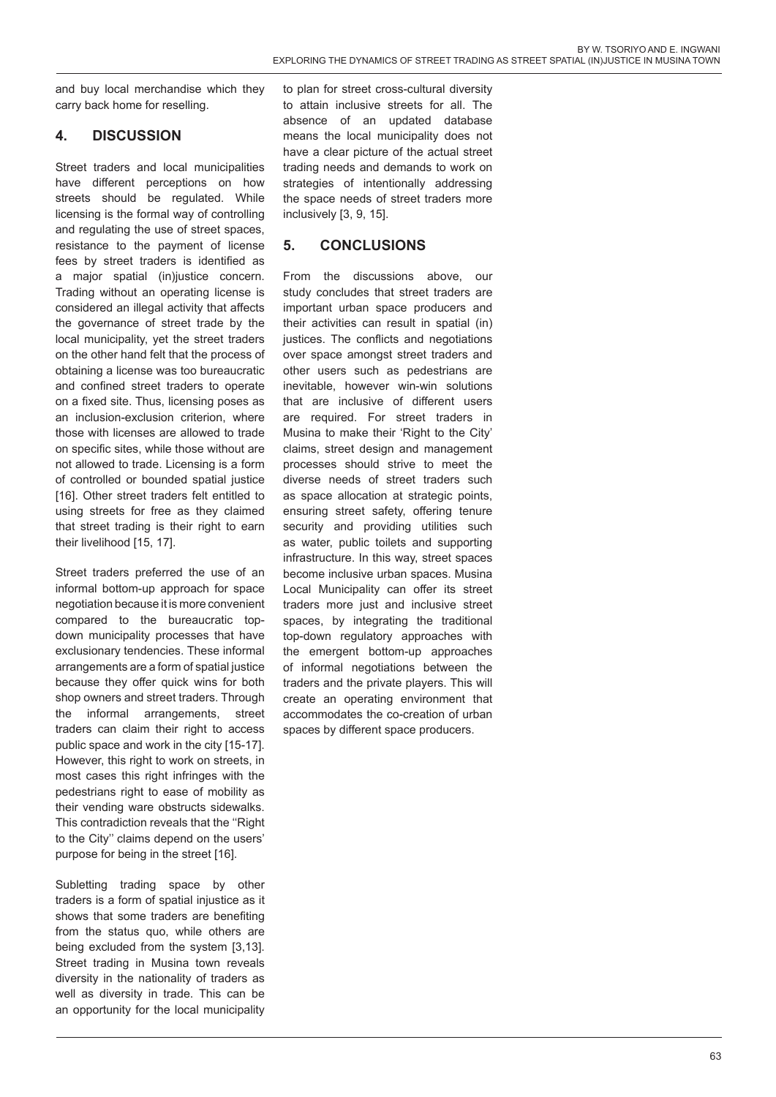and buy local merchandise which they carry back home for reselling.

## **4. DISCUSSION**

Street traders and local municipalities have different perceptions on how streets should be regulated. While licensing is the formal way of controlling and regulating the use of street spaces, resistance to the payment of license fees by street traders is identified as a major spatial (in)justice concern. Trading without an operating license is considered an illegal activity that affects the governance of street trade by the local municipality, yet the street traders on the other hand felt that the process of obtaining a license was too bureaucratic and confined street traders to operate on a fixed site. Thus, licensing poses as an inclusion-exclusion criterion, where those with licenses are allowed to trade on specific sites, while those without are not allowed to trade. Licensing is a form of controlled or bounded spatial justice [16]. Other street traders felt entitled to using streets for free as they claimed that street trading is their right to earn their livelihood [15, 17].

Street traders preferred the use of an informal bottom-up approach for space negotiation because it is more convenient compared to the bureaucratic topdown municipality processes that have exclusionary tendencies. These informal arrangements are a form of spatial justice because they offer quick wins for both shop owners and street traders. Through the informal arrangements, street traders can claim their right to access public space and work in the city [15-17]. However, this right to work on streets, in most cases this right infringes with the pedestrians right to ease of mobility as their vending ware obstructs sidewalks. This contradiction reveals that the ''Right to the City'' claims depend on the users' purpose for being in the street [16].

Subletting trading space by other traders is a form of spatial injustice as it shows that some traders are benefiting from the status quo, while others are being excluded from the system [3,13]. Street trading in Musina town reveals diversity in the nationality of traders as well as diversity in trade. This can be an opportunity for the local municipality

to plan for street cross-cultural diversity to attain inclusive streets for all. The absence of an updated database means the local municipality does not have a clear picture of the actual street trading needs and demands to work on strategies of intentionally addressing the space needs of street traders more inclusively [3, 9, 15].

## **5. CONCLUSIONS**

From the discussions above, our study concludes that street traders are important urban space producers and their activities can result in spatial (in) justices. The conflicts and negotiations over space amongst street traders and other users such as pedestrians are inevitable, however win-win solutions that are inclusive of different users are required. For street traders in Musina to make their 'Right to the City' claims, street design and management processes should strive to meet the diverse needs of street traders such as space allocation at strategic points, ensuring street safety, offering tenure security and providing utilities such as water, public toilets and supporting infrastructure. In this way, street spaces become inclusive urban spaces. Musina Local Municipality can offer its street traders more just and inclusive street spaces, by integrating the traditional top-down regulatory approaches with the emergent bottom-up approaches of informal negotiations between the traders and the private players. This will create an operating environment that accommodates the co-creation of urban spaces by different space producers.